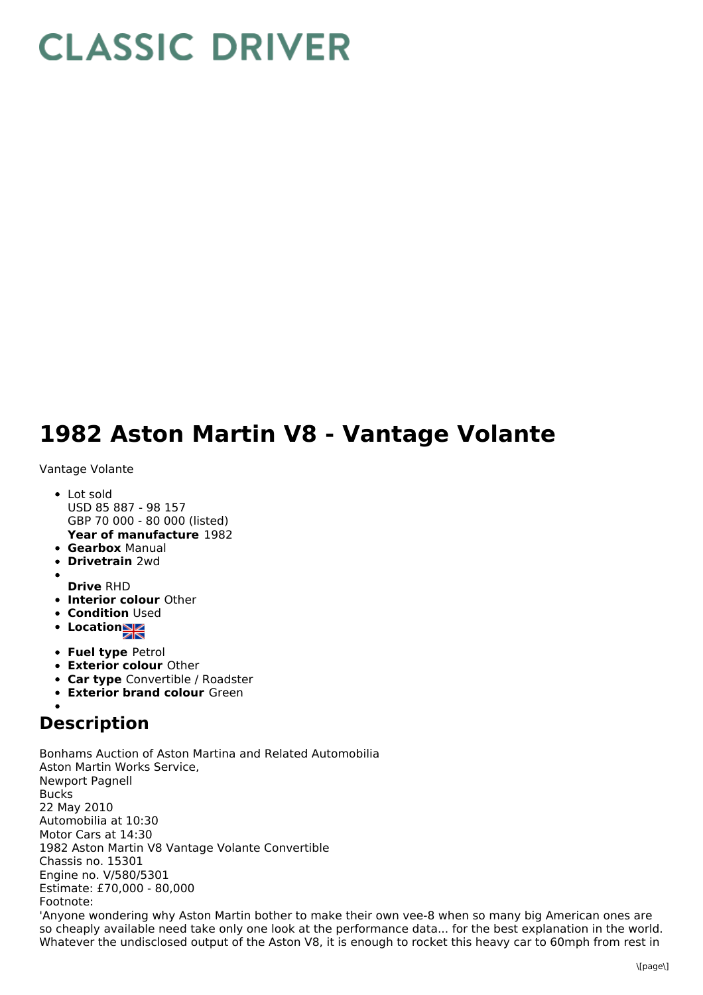## **CLASSIC DRIVER**

## **1982 Aston Martin V8 - Vantage Volante**

Vantage Volante

- **Year of manufacture** 1982 • Lot sold USD 85 887 - 98 157 GBP 70 000 - 80 000 (listed)
- **Gearbox** Manual
- **Drivetrain** 2wd
- 
- **Drive** RHD
- **Interior colour** Other
- **Condition Used**
- Location
- **Fuel type** Petrol
- **Exterior colour** Other
- **Car type** Convertible / Roadster
- **Exterior brand colour** Green

## **Description**

Bonhams Auction of Aston Martina and Related Automobilia Aston Martin Works Service, Newport Pagnell Bucks 22 May 2010 Automobilia at 10:30 Motor Cars at 14:30 1982 Aston Martin V8 Vantage Volante Convertible Chassis no. 15301 Engine no. V/580/5301 Estimate: £70,000 - 80,000 Footnote: 'Anyone wondering why Aston Martin bother to make their own vee-8 when so many big American ones are so cheaply available need take only one look at the performance data... for the best explanation in the world. Whatever the undisclosed output of the Aston V8, it is enough to rocket this heavy car to 60mph from rest in